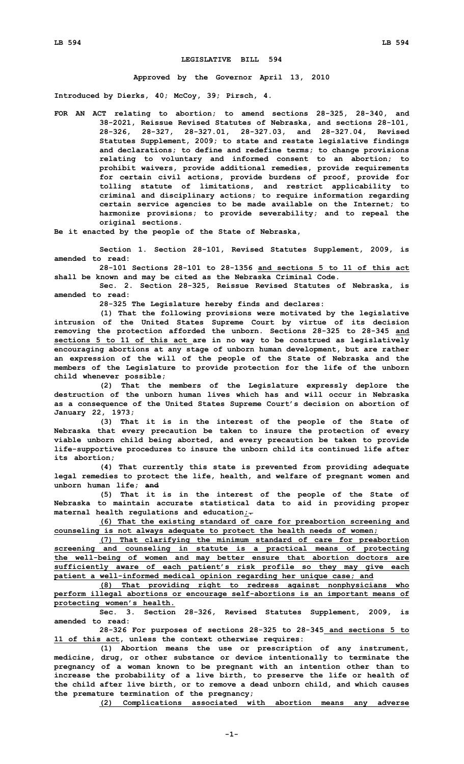## **LEGISLATIVE BILL 594**

**Approved by the Governor April 13, 2010**

**Introduced by Dierks, 40; McCoy, 39; Pirsch, 4.**

**FOR AN ACT relating to abortion; to amend sections 28-325, 28-340, and 38-2021, Reissue Revised Statutes of Nebraska, and sections 28-101, 28-326, 28-327, 28-327.01, 28-327.03, and 28-327.04, Revised Statutes Supplement, 2009; to state and restate legislative findings and declarations; to define and redefine terms; to change provisions relating to voluntary and informed consent to an abortion; to prohibit waivers, provide additional remedies, provide requirements for certain civil actions, provide burdens of proof, provide for tolling statute of limitations, and restrict applicability to criminal and disciplinary actions; to require information regarding certain service agencies to be made available on the Internet; to harmonize provisions; to provide severability; and to repeal the original sections.**

**Be it enacted by the people of the State of Nebraska,**

**Section 1. Section 28-101, Revised Statutes Supplement, 2009, is amended to read:**

**28-101 Sections 28-101 to 28-1356 and sections 5 to 11 of this act shall be known and may be cited as the Nebraska Criminal Code.**

**Sec. 2. Section 28-325, Reissue Revised Statutes of Nebraska, is amended to read:**

**28-325 The Legislature hereby finds and declares:**

**(1) That the following provisions were motivated by the legislative intrusion of the United States Supreme Court by virtue of its decision removing the protection afforded the unborn. Sections 28-325 to 28-345 and sections 5 to 11 of this act are in no way to be construed as legislatively encouraging abortions at any stage of unborn human development, but are rather an expression of the will of the people of the State of Nebraska and the members of the Legislature to provide protection for the life of the unborn child whenever possible;**

**(2) That the members of the Legislature expressly deplore the destruction of the unborn human lives which has and will occur in Nebraska as <sup>a</sup> consequence of the United States Supreme Court's decision on abortion of January 22, 1973;**

**(3) That it is in the interest of the people of the State of Nebraska that every precaution be taken to insure the protection of every viable unborn child being aborted, and every precaution be taken to provide life-supportive procedures to insure the unborn child its continued life after its abortion;**

**(4) That currently this state is prevented from providing adequate legal remedies to protect the life, health, and welfare of pregnant women and unborn human life; and**

**(5) That it is in the interest of the people of the State of Nebraska to maintain accurate statistical data to aid in providing proper maternal health regulations and education;.**

**(6) That the existing standard of care for preabortion screening and counseling is not always adequate to protect the health needs of women;**

**(7) That clarifying the minimum standard of care for preabortion screening and counseling in statute is <sup>a</sup> practical means of protecting the well-being of women and may better ensure that abortion doctors are sufficiently aware of each patient's risk profile so they may give each patient <sup>a</sup> well-informed medical opinion regarding her unique case; and**

**(8) That providing right to redress against nonphysicians who perform illegal abortions or encourage self-abortions is an important means of protecting women's health.**

**Sec. 3. Section 28-326, Revised Statutes Supplement, 2009, is amended to read:**

**28-326 For purposes of sections 28-325 to 28-345 and sections 5 to 11 of this act, unless the context otherwise requires:**

**(1) Abortion means the use or prescription of any instrument, medicine, drug, or other substance or device intentionally to terminate the pregnancy of <sup>a</sup> woman known to be pregnant with an intention other than to increase the probability of <sup>a</sup> live birth, to preserve the life or health of the child after live birth, or to remove <sup>a</sup> dead unborn child, and which causes the premature termination of the pregnancy;**

**(2) Complications associated with abortion means any adverse**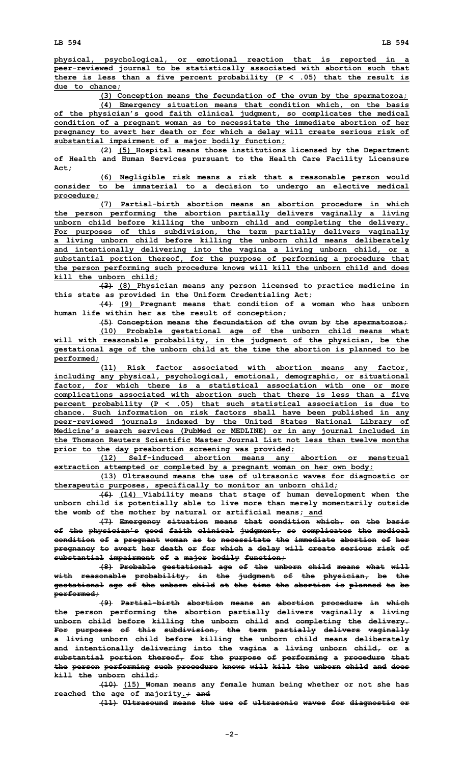**physical, psychological, or emotional reaction that is reported in <sup>a</sup> peer-reviewed journal to be statistically associated with abortion such that there is less than <sup>a</sup> five percent probability (P <sup>&</sup>lt; .05) that the result is due to chance;**

**(3) Conception means the fecundation of the ovum by the spermatozoa;**

**(4) Emergency situation means that condition which, on the basis of the physician's good faith clinical judgment, so complicates the medical condition of <sup>a</sup> pregnant woman as to necessitate the immediate abortion of her pregnancy to avert her death or for which <sup>a</sup> delay will create serious risk of substantial impairment of <sup>a</sup> major bodily function;**

**(2) (5) Hospital means those institutions licensed by the Department of Health and Human Services pursuant to the Health Care Facility Licensure Act;**

**(6) Negligible risk means <sup>a</sup> risk that <sup>a</sup> reasonable person would consider to be immaterial to <sup>a</sup> decision to undergo an elective medical procedure;**

**(7) Partial-birth abortion means an abortion procedure in which the person performing the abortion partially delivers vaginally <sup>a</sup> living unborn child before killing the unborn child and completing the delivery. For purposes of this subdivision, the term partially delivers vaginally <sup>a</sup> living unborn child before killing the unborn child means deliberately and intentionally delivering into the vagina <sup>a</sup> living unborn child, or <sup>a</sup> substantial portion thereof, for the purpose of performing <sup>a</sup> procedure that the person performing such procedure knows will kill the unborn child and does kill the unborn child;**

**(3) (8) Physician means any person licensed to practice medicine in this state as provided in the Uniform Credentialing Act;**

**(4) (9) Pregnant means that condition of <sup>a</sup> woman who has unborn human life within her as the result of conception;**

**(5) Conception means the fecundation of the ovum by the spermatozoa; (10) Probable gestational age of the unborn child means what will with reasonable probability, in the judgment of the physician, be the gestational age of the unborn child at the time the abortion is planned to be performed;**

**(11) Risk factor associated with abortion means any factor, including any physical, psychological, emotional, demographic, or situational factor, for which there is <sup>a</sup> statistical association with one or more complications associated with abortion such that there is less than <sup>a</sup> five percent probability (P <sup>&</sup>lt; .05) that such statistical association is due to chance. Such information on risk factors shall have been published in any peer-reviewed journals indexed by the United States National Library of Medicine's search services (PubMed or MEDLINE) or in any journal included in the Thomson Reuters Scientific Master Journal List not less than twelve months prior to the day preabortion screening was provided;**

**(12) Self-induced abortion means any abortion or menstrual extraction attempted or completed by <sup>a</sup> pregnant woman on her own body;**

**(13) Ultrasound means the use of ultrasonic waves for diagnostic or therapeutic purposes, specifically to monitor an unborn child;**

**(6) (14) Viability means that stage of human development when the unborn child is potentially able to live more than merely momentarily outside the womb of the mother by natural or artificial means; and**

**(7) Emergency situation means that condition which, on the basis of the physician's good faith clinical judgment, so complicates the medical condition of <sup>a</sup> pregnant woman as to necessitate the immediate abortion of her pregnancy to avert her death or for which <sup>a</sup> delay will create serious risk of substantial impairment of <sup>a</sup> major bodily function;**

**(8) Probable gestational age of the unborn child means what will with reasonable probability, in the judgment of the physician, be the gestational age of the unborn child at the time the abortion is planned to be performed;**

**(9) Partial-birth abortion means an abortion procedure in which the person performing the abortion partially delivers vaginally <sup>a</sup> living unborn child before killing the unborn child and completing the delivery. For purposes of this subdivision, the term partially delivers vaginally <sup>a</sup> living unborn child before killing the unborn child means deliberately and intentionally delivering into the vagina <sup>a</sup> living unborn child, or <sup>a</sup> substantial portion thereof, for the purpose of performing <sup>a</sup> procedure that the person performing such procedure knows will kill the unborn child and does kill the unborn child;**

**(10) (15) Woman means any female human being whether or not she has reached the age of majority.; and**

**(11) Ultrasound means the use of ultrasonic waves for diagnostic or**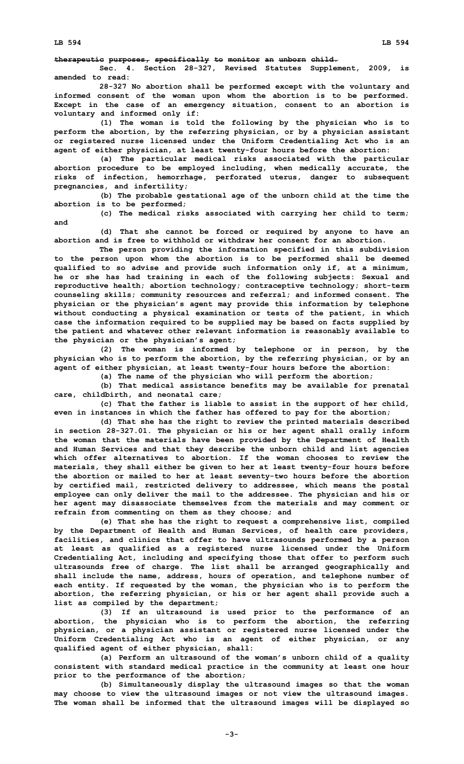## **therapeutic purposes, specifically to monitor an unborn child.**

**Sec. 4. Section 28-327, Revised Statutes Supplement, 2009, is amended to read:**

**28-327 No abortion shall be performed except with the voluntary and informed consent of the woman upon whom the abortion is to be performed. Except in the case of an emergency situation, consent to an abortion is voluntary and informed only if:**

**(1) The woman is told the following by the physician who is to perform the abortion, by the referring physician, or by <sup>a</sup> physician assistant or registered nurse licensed under the Uniform Credentialing Act who is an agent of either physician, at least twenty-four hours before the abortion:**

**(a) The particular medical risks associated with the particular abortion procedure to be employed including, when medically accurate, the risks of infection, hemorrhage, perforated uterus, danger to subsequent pregnancies, and infertility;**

**(b) The probable gestational age of the unborn child at the time the abortion is to be performed;**

**(c) The medical risks associated with carrying her child to term; and**

**(d) That she cannot be forced or required by anyone to have an abortion and is free to withhold or withdraw her consent for an abortion.**

**The person providing the information specified in this subdivision to the person upon whom the abortion is to be performed shall be deemed qualified to so advise and provide such information only if, at <sup>a</sup> minimum, he or she has had training in each of the following subjects: Sexual and reproductive health; abortion technology; contraceptive technology; short-term counseling skills; community resources and referral; and informed consent. The physician or the physician's agent may provide this information by telephone without conducting <sup>a</sup> physical examination or tests of the patient, in which case the information required to be supplied may be based on facts supplied by the patient and whatever other relevant information is reasonably available to the physician or the physician's agent;**

**(2) The woman is informed by telephone or in person, by the physician who is to perform the abortion, by the referring physician, or by an agent of either physician, at least twenty-four hours before the abortion:**

**(a) The name of the physician who will perform the abortion;**

**(b) That medical assistance benefits may be available for prenatal care, childbirth, and neonatal care;**

**(c) That the father is liable to assist in the support of her child, even in instances in which the father has offered to pay for the abortion;**

**(d) That she has the right to review the printed materials described in section 28-327.01. The physician or his or her agent shall orally inform the woman that the materials have been provided by the Department of Health and Human Services and that they describe the unborn child and list agencies which offer alternatives to abortion. If the woman chooses to review the materials, they shall either be given to her at least twenty-four hours before the abortion or mailed to her at least seventy-two hours before the abortion by certified mail, restricted delivery to addressee, which means the postal employee can only deliver the mail to the addressee. The physician and his or her agent may disassociate themselves from the materials and may comment or refrain from commenting on them as they choose; and**

**(e) That she has the right to request <sup>a</sup> comprehensive list, compiled by the Department of Health and Human Services, of health care providers, facilities, and clinics that offer to have ultrasounds performed by <sup>a</sup> person at least as qualified as <sup>a</sup> registered nurse licensed under the Uniform Credentialing Act, including and specifying those that offer to perform such ultrasounds free of charge. The list shall be arranged geographically and shall include the name, address, hours of operation, and telephone number of each entity. If requested by the woman, the physician who is to perform the abortion, the referring physician, or his or her agent shall provide such <sup>a</sup> list as compiled by the department;**

**(3) If an ultrasound is used prior to the performance of an abortion, the physician who is to perform the abortion, the referring physician, or <sup>a</sup> physician assistant or registered nurse licensed under the Uniform Credentialing Act who is an agent of either physician, or any qualified agent of either physician, shall:**

**(a) Perform an ultrasound of the woman's unborn child of <sup>a</sup> quality consistent with standard medical practice in the community at least one hour prior to the performance of the abortion;**

**(b) Simultaneously display the ultrasound images so that the woman may choose to view the ultrasound images or not view the ultrasound images. The woman shall be informed that the ultrasound images will be displayed so**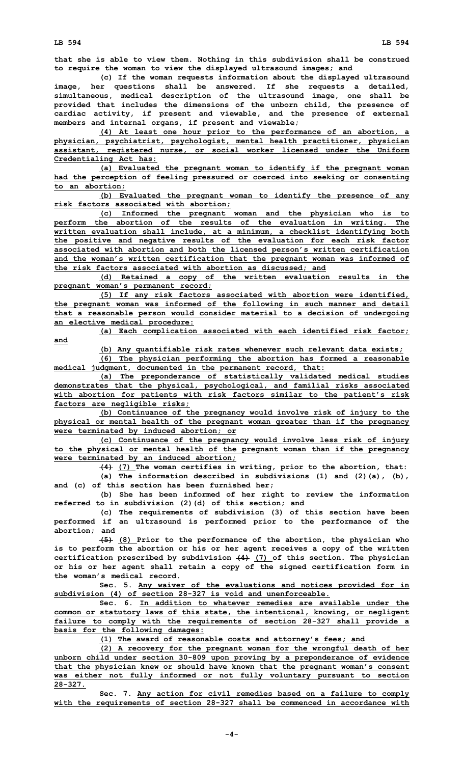**that she is able to view them. Nothing in this subdivision shall be construed to require the woman to view the displayed ultrasound images; and**

**(c) If the woman requests information about the displayed ultrasound image, her questions shall be answered. If she requests <sup>a</sup> detailed, simultaneous, medical description of the ultrasound image, one shall be provided that includes the dimensions of the unborn child, the presence of cardiac activity, if present and viewable, and the presence of external members and internal organs, if present and viewable;**

**(4) At least one hour prior to the performance of an abortion, <sup>a</sup> physician, psychiatrist, psychologist, mental health practitioner, physician assistant, registered nurse, or social worker licensed under the Uniform Credentialing Act has:**

**(a) Evaluated the pregnant woman to identify if the pregnant woman had the perception of feeling pressured or coerced into seeking or consenting to an abortion;**

**(b) Evaluated the pregnant woman to identify the presence of any risk factors associated with abortion;**

**(c) Informed the pregnant woman and the physician who is to perform the abortion of the results of the evaluation in writing. The written evaluation shall include, at <sup>a</sup> minimum, <sup>a</sup> checklist identifying both the positive and negative results of the evaluation for each risk factor associated with abortion and both the licensed person's written certification and the woman's written certification that the pregnant woman was informed of the risk factors associated with abortion as discussed; and**

**(d) Retained <sup>a</sup> copy of the written evaluation results in the pregnant woman's permanent record;**

**(5) If any risk factors associated with abortion were identified, the pregnant woman was informed of the following in such manner and detail that <sup>a</sup> reasonable person would consider material to <sup>a</sup> decision of undergoing an elective medical procedure:**

**(a) Each complication associated with each identified risk factor; and**

**(b) Any quantifiable risk rates whenever such relevant data exists;**

**(6) The physician performing the abortion has formed <sup>a</sup> reasonable medical judgment, documented in the permanent record, that:**

**(a) The preponderance of statistically validated medical studies demonstrates that the physical, psychological, and familial risks associated with abortion for patients with risk factors similar to the patient's risk factors are negligible risks;**

**(b) Continuance of the pregnancy would involve risk of injury to the physical or mental health of the pregnant woman greater than if the pregnancy were terminated by induced abortion; or**

**(c) Continuance of the pregnancy would involve less risk of injury to the physical or mental health of the pregnant woman than if the pregnancy were terminated by an induced abortion;**

**(4) (7) The woman certifies in writing, prior to the abortion, that:**

**(a) The information described in subdivisions (1) and (2)(a), (b), and (c) of this section has been furnished her;**

**(b) She has been informed of her right to review the information referred to in subdivision (2)(d) of this section; and**

**(c) The requirements of subdivision (3) of this section have been performed if an ultrasound is performed prior to the performance of the abortion; and**

**(5) (8) Prior to the performance of the abortion, the physician who is to perform the abortion or his or her agent receives <sup>a</sup> copy of the written certification prescribed by subdivision (4) (7) of this section. The physician or his or her agent shall retain <sup>a</sup> copy of the signed certification form in the woman's medical record.**

**Sec. 5. Any waiver of the evaluations and notices provided for in subdivision (4) of section 28-327 is void and unenforceable.**

**Sec. 6. In addition to whatever remedies are available under the common or statutory laws of this state, the intentional, knowing, or negligent failure to comply with the requirements of section 28-327 shall provide <sup>a</sup> basis for the following damages:**

**(1) The award of reasonable costs and attorney's fees; and**

**(2) <sup>A</sup> recovery for the pregnant woman for the wrongful death of her unborn child under section 30-809 upon proving by <sup>a</sup> preponderance of evidence that the physician knew or should have known that the pregnant woman's consent was either not fully informed or not fully voluntary pursuant to section 28-327.**

**Sec. 7. Any action for civil remedies based on <sup>a</sup> failure to comply with the requirements of section 28-327 shall be commenced in accordance with**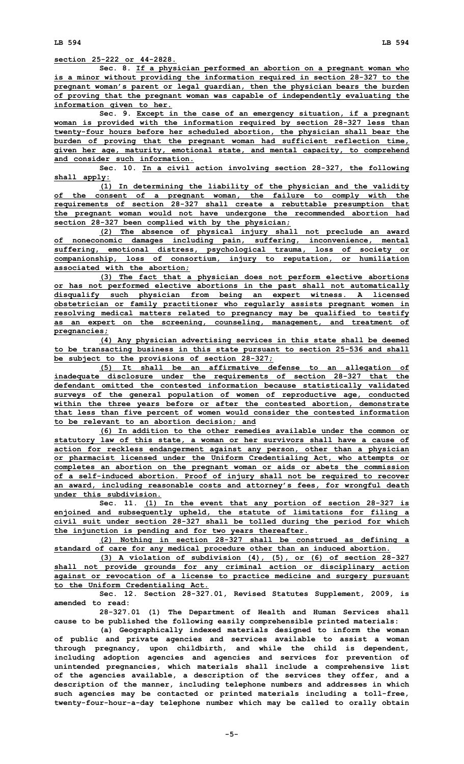**LB 594 LB 594**

**section 25-222 or 44-2828.**

**Sec. 8. If <sup>a</sup> physician performed an abortion on <sup>a</sup> pregnant woman who is <sup>a</sup> minor without providing the information required in section 28-327 to the pregnant woman's parent or legal guardian, then the physician bears the burden of proving that the pregnant woman was capable of independently evaluating the information given to her.**

**Sec. 9. Except in the case of an emergency situation, if <sup>a</sup> pregnant woman is provided with the information required by section 28-327 less than twenty-four hours before her scheduled abortion, the physician shall bear the burden of proving that the pregnant woman had sufficient reflection time, given her age, maturity, emotional state, and mental capacity, to comprehend and consider such information.**

**Sec. 10. In <sup>a</sup> civil action involving section 28-327, the following shall apply:**

**(1) In determining the liability of the physician and the validity of the consent of <sup>a</sup> pregnant woman, the failure to comply with the requirements of section 28-327 shall create <sup>a</sup> rebuttable presumption that the pregnant woman would not have undergone the recommended abortion had section 28-327 been complied with by the physician;**

**(2) The absence of physical injury shall not preclude an award of noneconomic damages including pain, suffering, inconvenience, mental suffering, emotional distress, psychological trauma, loss of society or companionship, loss of consortium, injury to reputation, or humiliation associated with the abortion;**

**(3) The fact that <sup>a</sup> physician does not perform elective abortions or has not performed elective abortions in the past shall not automatically disqualify such physician from being an expert witness. A licensed obstetrician or family practitioner who regularly assists pregnant women in resolving medical matters related to pregnancy may be qualified to testify as an expert on the screening, counseling, management, and treatment of pregnancies;**

**(4) Any physician advertising services in this state shall be deemed to be transacting business in this state pursuant to section 25-536 and shall be subject to the provisions of section 28-327;**

**(5) It shall be an affirmative defense to an allegation of inadequate disclosure under the requirements of section 28-327 that the defendant omitted the contested information because statistically validated surveys of the general population of women of reproductive age, conducted within the three years before or after the contested abortion, demonstrate that less than five percent of women would consider the contested information to be relevant to an abortion decision; and**

**(6) In addition to the other remedies available under the common or statutory law of this state, <sup>a</sup> woman or her survivors shall have <sup>a</sup> cause of action for reckless endangerment against any person, other than <sup>a</sup> physician or pharmacist licensed under the Uniform Credentialing Act, who attempts or completes an abortion on the pregnant woman or aids or abets the commission of <sup>a</sup> self-induced abortion. Proof of injury shall not be required to recover an award, including reasonable costs and attorney's fees, for wrongful death under this subdivision.**

**Sec. 11. (1) In the event that any portion of section 28-327 is enjoined and subsequently upheld, the statute of limitations for filing <sup>a</sup> civil suit under section 28-327 shall be tolled during the period for which the injunction is pending and for two years thereafter.**

**(2) Nothing in section 28-327 shall be construed as defining <sup>a</sup> standard of care for any medical procedure other than an induced abortion.**

**(3) A violation of subdivision (4), (5), or (6) of section 28-327 shall not provide grounds for any criminal action or disciplinary action against or revocation of <sup>a</sup> license to practice medicine and surgery pursuant to the Uniform Credentialing Act.**

**Sec. 12. Section 28-327.01, Revised Statutes Supplement, 2009, is amended to read:**

**28-327.01 (1) The Department of Health and Human Services shall cause to be published the following easily comprehensible printed materials:**

**(a) Geographically indexed materials designed to inform the woman of public and private agencies and services available to assist <sup>a</sup> woman through pregnancy, upon childbirth, and while the child is dependent, including adoption agencies and agencies and services for prevention of unintended pregnancies, which materials shall include <sup>a</sup> comprehensive list of the agencies available, <sup>a</sup> description of the services they offer, and <sup>a</sup> description of the manner, including telephone numbers and addresses in which such agencies may be contacted or printed materials including <sup>a</sup> toll-free, twenty-four-hour-a-day telephone number which may be called to orally obtain**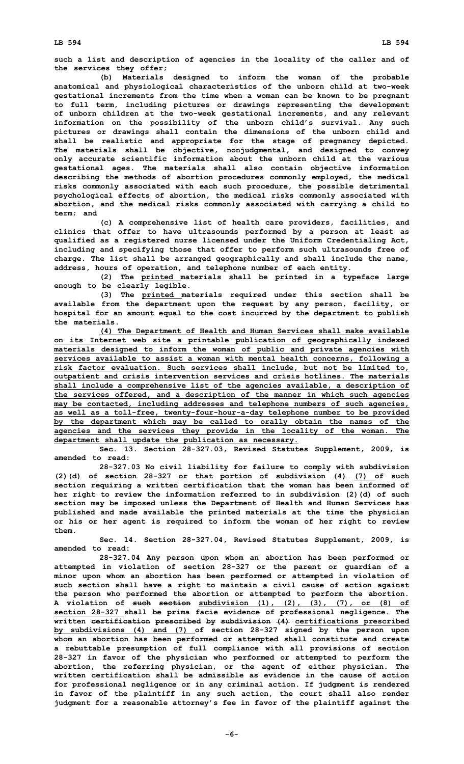**such <sup>a</sup> list and description of agencies in the locality of the caller and of the services they offer;**

**(b) Materials designed to inform the woman of the probable anatomical and physiological characteristics of the unborn child at two-week gestational increments from the time when <sup>a</sup> woman can be known to be pregnant to full term, including pictures or drawings representing the development of unborn children at the two-week gestational increments, and any relevant information on the possibility of the unborn child's survival. Any such pictures or drawings shall contain the dimensions of the unborn child and shall be realistic and appropriate for the stage of pregnancy depicted. The materials shall be objective, nonjudgmental, and designed to convey only accurate scientific information about the unborn child at the various gestational ages. The materials shall also contain objective information describing the methods of abortion procedures commonly employed, the medical risks commonly associated with each such procedure, the possible detrimental psychological effects of abortion, the medical risks commonly associated with abortion, and the medical risks commonly associated with carrying <sup>a</sup> child to term; and**

**(c) <sup>A</sup> comprehensive list of health care providers, facilities, and clinics that offer to have ultrasounds performed by <sup>a</sup> person at least as qualified as <sup>a</sup> registered nurse licensed under the Uniform Credentialing Act, including and specifying those that offer to perform such ultrasounds free of charge. The list shall be arranged geographically and shall include the name, address, hours of operation, and telephone number of each entity.**

**(2) The printed materials shall be printed in <sup>a</sup> typeface large enough to be clearly legible.**

**(3) The printed materials required under this section shall be available from the department upon the request by any person, facility, or hospital for an amount equal to the cost incurred by the department to publish the materials.**

**(4) The Department of Health and Human Services shall make available on its Internet web site <sup>a</sup> printable publication of geographically indexed materials designed to inform the woman of public and private agencies with services available to assist <sup>a</sup> woman with mental health concerns, following <sup>a</sup> risk factor evaluation. Such services shall include, but not be limited to, outpatient and crisis intervention services and crisis hotlines. The materials shall include <sup>a</sup> comprehensive list of the agencies available, <sup>a</sup> description of the services offered, and <sup>a</sup> description of the manner in which such agencies may be contacted, including addresses and telephone numbers of such agencies, as well as <sup>a</sup> toll-free, twenty-four-hour-a-day telephone number to be provided by the department which may be called to orally obtain the names of the agencies and the services they provide in the locality of the woman. The department shall update the publication as necessary.**

**Sec. 13. Section 28-327.03, Revised Statutes Supplement, 2009, is amended to read:**

**28-327.03 No civil liability for failure to comply with subdivision (2)(d) of section 28-327 or that portion of subdivision (4) (7) of such section requiring <sup>a</sup> written certification that the woman has been informed of her right to review the information referred to in subdivision (2)(d) of such section may be imposed unless the Department of Health and Human Services has published and made available the printed materials at the time the physician or his or her agent is required to inform the woman of her right to review them.**

**Sec. 14. Section 28-327.04, Revised Statutes Supplement, 2009, is amended to read:**

**28-327.04 Any person upon whom an abortion has been performed or attempted in violation of section 28-327 or the parent or guardian of <sup>a</sup> minor upon whom an abortion has been performed or attempted in violation of such section shall have <sup>a</sup> right to maintain <sup>a</sup> civil cause of action against the person who performed the abortion or attempted to perform the abortion. A violation of such section subdivision (1), (2), (3), (7), or (8) of section 28-327 shall be prima facie evidence of professional negligence. The written certification prescribed by subdivision (4) certifications prescribed by subdivisions (4) and (7) of section 28-327 signed by the person upon whom an abortion has been performed or attempted shall constitute and create <sup>a</sup> rebuttable presumption of full compliance with all provisions of section 28-327 in favor of the physician who performed or attempted to perform the abortion, the referring physician, or the agent of either physician. The written certification shall be admissible as evidence in the cause of action for professional negligence or in any criminal action. If judgment is rendered in favor of the plaintiff in any such action, the court shall also render judgment for <sup>a</sup> reasonable attorney's fee in favor of the plaintiff against the**